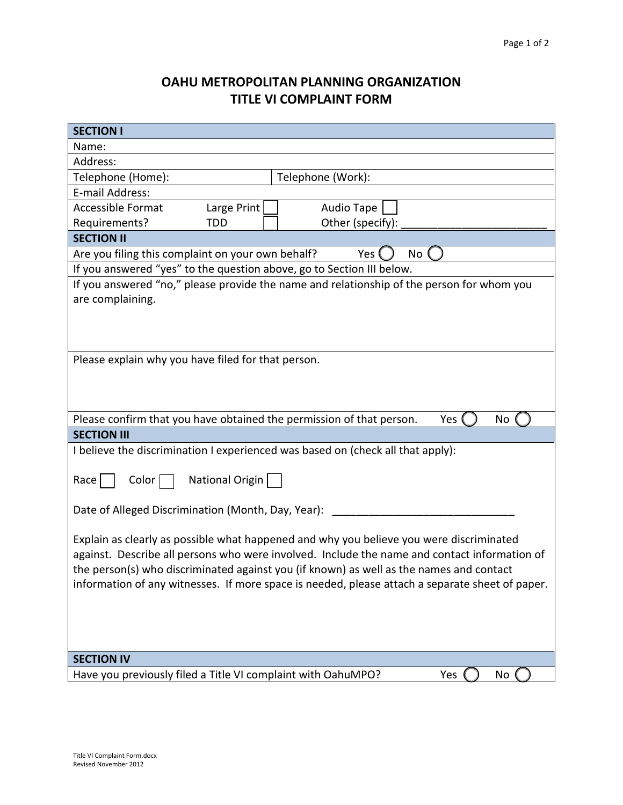## **OAHU METROPOLITAN PLANNING ORGANIZATION TITLE VI COMPLAINT FORM**

| <b>SECTION I</b>                                                                                |           |
|-------------------------------------------------------------------------------------------------|-----------|
| Name:                                                                                           |           |
| Address:                                                                                        |           |
| Telephone (Home):<br>Telephone (Work):                                                          |           |
| E-mail Address:                                                                                 |           |
| <b>Accessible Format</b><br>Large Print<br>Audio Tape                                           |           |
| Requirements?<br><b>TDD</b><br>Other (specify):                                                 |           |
| <b>SECTION II</b>                                                                               |           |
| Are you filing this complaint on your own behalf?<br>Yes<br>No                                  |           |
| If you answered "yes" to the question above, go to Section III below.                           |           |
| If you answered "no," please provide the name and relationship of the person for whom you       |           |
| are complaining.                                                                                |           |
|                                                                                                 |           |
|                                                                                                 |           |
|                                                                                                 |           |
| Please explain why you have filed for that person.                                              |           |
|                                                                                                 |           |
|                                                                                                 |           |
|                                                                                                 |           |
| Please confirm that you have obtained the permission of that person.                            | Yes<br>No |
| <b>SECTION III</b>                                                                              |           |
| I believe the discrimination I experienced was based on (check all that apply):                 |           |
|                                                                                                 |           |
| National Origin<br>$\textsf{Race}$<br>Color                                                     |           |
|                                                                                                 |           |
| Date of Alleged Discrimination (Month, Day, Year):                                              |           |
|                                                                                                 |           |
| Explain as clearly as possible what happened and why you believe you were discriminated         |           |
| against. Describe all persons who were involved. Include the name and contact information of    |           |
| the person(s) who discriminated against you (if known) as well as the names and contact         |           |
| information of any witnesses. If more space is needed, please attach a separate sheet of paper. |           |
|                                                                                                 |           |
|                                                                                                 |           |
|                                                                                                 |           |
|                                                                                                 |           |
| <b>SECTION IV</b>                                                                               |           |
| Have you previously filed a Title VI complaint with OahuMPO?                                    | Yes<br>No |